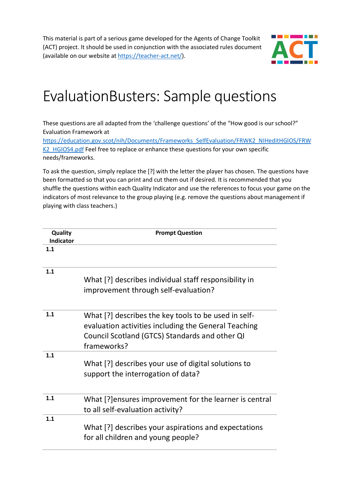This material is part of a serious game developed for the Agents of Change Toolkit (ACT) project. It should be used in conjunction with the associated rules document (available on our website at [https://teacher-act.net/\)](https://teacher-act.net/).



## EvaluationBusters: Sample questions

These questions are all adapted from the 'challenge questions' of the "How good is our school?" Evaluation Framework at

[https://education.gov.scot/nih/Documents/Frameworks\\_SelfEvaluation/FRWK2\\_NIHeditHGIOS/FRW](https://education.gov.scot/nih/Documents/Frameworks_SelfEvaluation/FRWK2_NIHeditHGIOS/FRWK2_HGIOS4.pdf) [K2\\_HGIOS4.pdf](https://education.gov.scot/nih/Documents/Frameworks_SelfEvaluation/FRWK2_NIHeditHGIOS/FRWK2_HGIOS4.pdf) Feel free to replace or enhance these questions for your own specific needs/frameworks.

To ask the question, simply replace the [?] with the letter the player has chosen. The questions have been formatted so that you can print and cut them out if desired. It is recommended that you shuffle the questions within each Quality Indicator and use the references to focus your game on the indicators of most relevance to the group playing (e.g. remove the questions about management if playing with class teachers.)

| Quality<br><b>Indicator</b> | <b>Prompt Question</b>                                                                                                                                                        |
|-----------------------------|-------------------------------------------------------------------------------------------------------------------------------------------------------------------------------|
| 1.1                         |                                                                                                                                                                               |
| 1.1                         | What [?] describes individual staff responsibility in<br>improvement through self-evaluation?                                                                                 |
| 1.1                         | What [?] describes the key tools to be used in self-<br>evaluation activities including the General Teaching<br>Council Scotland (GTCS) Standards and other QI<br>frameworks? |
| 1.1                         | What [?] describes your use of digital solutions to<br>support the interrogation of data?                                                                                     |
| 1.1                         | What [?] ensures improvement for the learner is central<br>to all self-evaluation activity?                                                                                   |
| 1.1                         | What [?] describes your aspirations and expectations<br>for all children and young people?                                                                                    |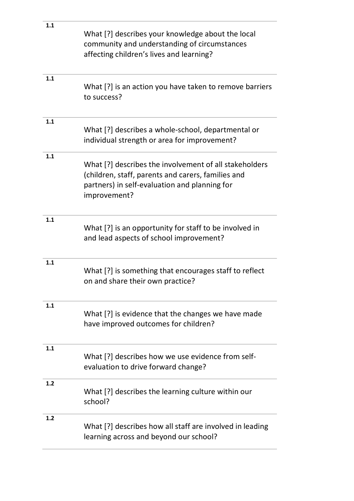| 1.1 | What [?] describes your knowledge about the local<br>community and understanding of circumstances<br>affecting children's lives and learning?                                 |
|-----|-------------------------------------------------------------------------------------------------------------------------------------------------------------------------------|
| 1.1 | What [?] is an action you have taken to remove barriers<br>to success?                                                                                                        |
| 1.1 | What [?] describes a whole-school, departmental or<br>individual strength or area for improvement?                                                                            |
| 1.1 | What [?] describes the involvement of all stakeholders<br>(children, staff, parents and carers, families and<br>partners) in self-evaluation and planning for<br>improvement? |
| 1.1 | What [?] is an opportunity for staff to be involved in<br>and lead aspects of school improvement?                                                                             |
| 1.1 | What [?] is something that encourages staff to reflect<br>on and share their own practice?                                                                                    |
| 1.1 | What [?] is evidence that the changes we have made<br>have improved outcomes for children?                                                                                    |
| 1.1 | What [?] describes how we use evidence from self-<br>evaluation to drive forward change?                                                                                      |
| 1.2 | What [?] describes the learning culture within our<br>school?                                                                                                                 |
| 1.2 | What [?] describes how all staff are involved in leading<br>learning across and beyond our school?                                                                            |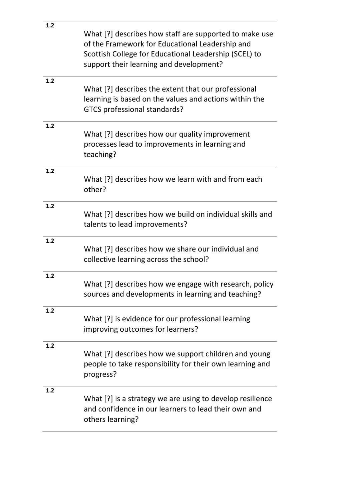| 1.2   | What [?] describes how staff are supported to make use<br>of the Framework for Educational Leadership and<br>Scottish College for Educational Leadership (SCEL) to<br>support their learning and development? |
|-------|---------------------------------------------------------------------------------------------------------------------------------------------------------------------------------------------------------------|
| 1.2   | What [?] describes the extent that our professional<br>learning is based on the values and actions within the<br>GTCS professional standards?                                                                 |
| 1.2   | What [?] describes how our quality improvement<br>processes lead to improvements in learning and<br>teaching?                                                                                                 |
| 1.2   | What [?] describes how we learn with and from each<br>other?                                                                                                                                                  |
| 1.2   | What [?] describes how we build on individual skills and<br>talents to lead improvements?                                                                                                                     |
| 1.2   | What [?] describes how we share our individual and<br>collective learning across the school?                                                                                                                  |
| $1.2$ | What [?] describes how we engage with research, policy<br>sources and developments in learning and teaching?                                                                                                  |
| 1.2   | What [?] is evidence for our professional learning<br>improving outcomes for learners?                                                                                                                        |
| $1.2$ | What [?] describes how we support children and young<br>people to take responsibility for their own learning and<br>progress?                                                                                 |
| 1.2   | What [?] is a strategy we are using to develop resilience<br>and confidence in our learners to lead their own and<br>others learning?                                                                         |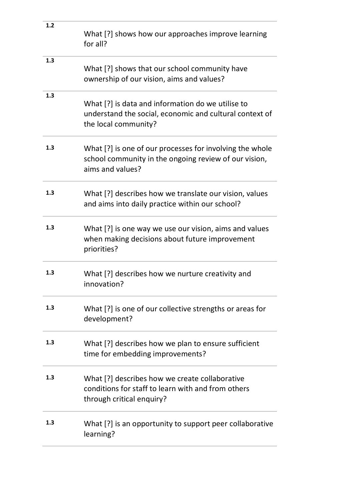| 1.2 | What [?] shows how our approaches improve learning<br>for all?                                                                        |
|-----|---------------------------------------------------------------------------------------------------------------------------------------|
| 1.3 | What [?] shows that our school community have<br>ownership of our vision, aims and values?                                            |
| 1.3 | What [?] is data and information do we utilise to<br>understand the social, economic and cultural context of<br>the local community?  |
| 1.3 | What [?] is one of our processes for involving the whole<br>school community in the ongoing review of our vision,<br>aims and values? |
| 1.3 | What [?] describes how we translate our vision, values<br>and aims into daily practice within our school?                             |
| 1.3 | What [?] is one way we use our vision, aims and values<br>when making decisions about future improvement<br>priorities?               |
| 1.3 | What [?] describes how we nurture creativity and<br>innovation?                                                                       |
| 1.3 | What [?] is one of our collective strengths or areas for<br>development?                                                              |
| 1.3 | What [?] describes how we plan to ensure sufficient<br>time for embedding improvements?                                               |
| 1.3 | What [?] describes how we create collaborative<br>conditions for staff to learn with and from others<br>through critical enquiry?     |
| 1.3 | What [?] is an opportunity to support peer collaborative<br>learning?                                                                 |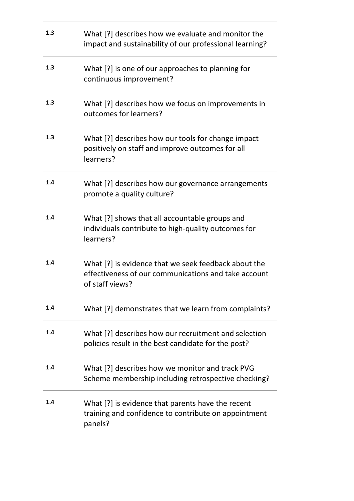| 1.3 | What [?] describes how we evaluate and monitor the<br>impact and sustainability of our professional learning?                   |
|-----|---------------------------------------------------------------------------------------------------------------------------------|
| 1.3 | What [?] is one of our approaches to planning for<br>continuous improvement?                                                    |
| 1.3 | What [?] describes how we focus on improvements in<br>outcomes for learners?                                                    |
| 1.3 | What [?] describes how our tools for change impact<br>positively on staff and improve outcomes for all<br>learners?             |
| 1.4 | What [?] describes how our governance arrangements<br>promote a quality culture?                                                |
| 1.4 | What [?] shows that all accountable groups and<br>individuals contribute to high-quality outcomes for<br>learners?              |
| 1.4 | What [?] is evidence that we seek feedback about the<br>effectiveness of our communications and take account<br>of staff views? |
| 1.4 | What [?] demonstrates that we learn from complaints?                                                                            |
| 1.4 | What [?] describes how our recruitment and selection<br>policies result in the best candidate for the post?                     |
| 1.4 | What [?] describes how we monitor and track PVG<br>Scheme membership including retrospective checking?                          |
| 1.4 | What [?] is evidence that parents have the recent<br>training and confidence to contribute on appointment<br>panels?            |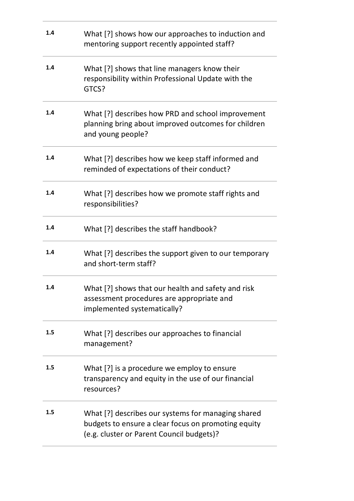| 1.4 | What [?] shows how our approaches to induction and<br>mentoring support recently appointed staff?                                                      |
|-----|--------------------------------------------------------------------------------------------------------------------------------------------------------|
| 1.4 | What [?] shows that line managers know their<br>responsibility within Professional Update with the<br>GTCS?                                            |
| 1.4 | What [?] describes how PRD and school improvement<br>planning bring about improved outcomes for children<br>and young people?                          |
| 1.4 | What [?] describes how we keep staff informed and<br>reminded of expectations of their conduct?                                                        |
| 1.4 | What [?] describes how we promote staff rights and<br>responsibilities?                                                                                |
| 1.4 | What [?] describes the staff handbook?                                                                                                                 |
| 1.4 | What [?] describes the support given to our temporary<br>and short-term staff?                                                                         |
| 1.4 | What [?] shows that our health and safety and risk<br>assessment procedures are appropriate and<br>implemented systematically?                         |
| 1.5 | What [?] describes our approaches to financial<br>management?                                                                                          |
| 1.5 | What [?] is a procedure we employ to ensure<br>transparency and equity in the use of our financial<br>resources?                                       |
| 1.5 | What [?] describes our systems for managing shared<br>budgets to ensure a clear focus on promoting equity<br>(e.g. cluster or Parent Council budgets)? |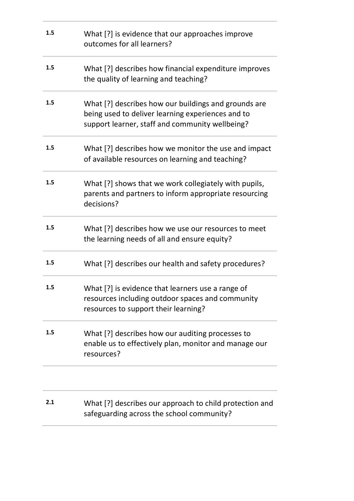| 1.5 | What [?] is evidence that our approaches improve<br>outcomes for all learners?                                                                               |
|-----|--------------------------------------------------------------------------------------------------------------------------------------------------------------|
| 1.5 | What [?] describes how financial expenditure improves<br>the quality of learning and teaching?                                                               |
| 1.5 | What [?] describes how our buildings and grounds are<br>being used to deliver learning experiences and to<br>support learner, staff and community wellbeing? |
| 1.5 | What [?] describes how we monitor the use and impact<br>of available resources on learning and teaching?                                                     |
| 1.5 | What [?] shows that we work collegiately with pupils,<br>parents and partners to inform appropriate resourcing<br>decisions?                                 |
| 1.5 | What [?] describes how we use our resources to meet<br>the learning needs of all and ensure equity?                                                          |
| 1.5 | What [?] describes our health and safety procedures?                                                                                                         |
| 1.5 | What [?] is evidence that learners use a range of<br>resources including outdoor spaces and community<br>resources to support their learning?                |
| 1.5 | What [?] describes how our auditing processes to<br>enable us to effectively plan, monitor and manage our<br>resources?                                      |
|     |                                                                                                                                                              |
| 2.1 | What [?] describes our approach to child protection and<br>safeguarding across the school community?                                                         |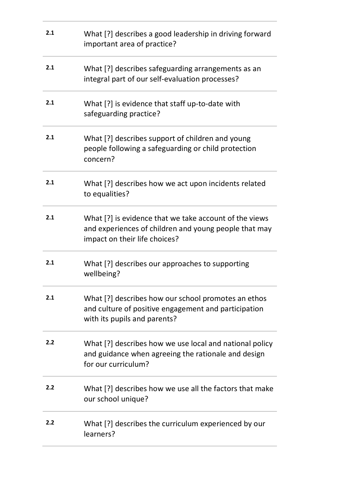| 2.1 | What [?] describes a good leadership in driving forward<br>important area of practice?                                                           |
|-----|--------------------------------------------------------------------------------------------------------------------------------------------------|
| 2.1 | What [?] describes safeguarding arrangements as an<br>integral part of our self-evaluation processes?                                            |
| 2.1 | What [?] is evidence that staff up-to-date with<br>safeguarding practice?                                                                        |
| 2.1 | What [?] describes support of children and young<br>people following a safeguarding or child protection<br>concern?                              |
| 2.1 | What [?] describes how we act upon incidents related<br>to equalities?                                                                           |
| 2.1 | What [?] is evidence that we take account of the views<br>and experiences of children and young people that may<br>impact on their life choices? |
| 2.1 | What [?] describes our approaches to supporting<br>wellbeing?                                                                                    |
| 2.1 | What [?] describes how our school promotes an ethos<br>and culture of positive engagement and participation<br>with its pupils and parents?      |
| 2.2 | What [?] describes how we use local and national policy<br>and guidance when agreeing the rationale and design<br>for our curriculum?            |
| 2.2 | What [?] describes how we use all the factors that make<br>our school unique?                                                                    |
| 2.2 | What [?] describes the curriculum experienced by our<br>learners?                                                                                |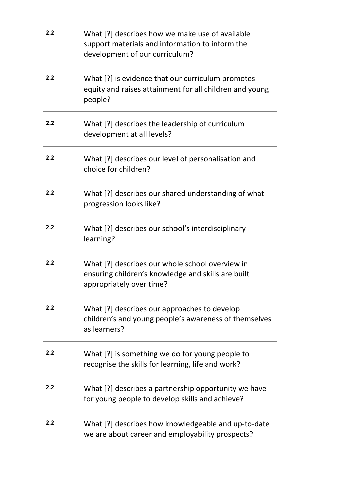| 2.2 | What [?] describes how we make use of available<br>support materials and information to inform the<br>development of our curriculum? |
|-----|--------------------------------------------------------------------------------------------------------------------------------------|
| 2.2 | What [?] is evidence that our curriculum promotes<br>equity and raises attainment for all children and young<br>people?              |
| 2.2 | What [?] describes the leadership of curriculum<br>development at all levels?                                                        |
| 2.2 | What [?] describes our level of personalisation and<br>choice for children?                                                          |
| 2.2 | What [?] describes our shared understanding of what<br>progression looks like?                                                       |
| 2.2 | What [?] describes our school's interdisciplinary<br>learning?                                                                       |
| 2.2 | What [?] describes our whole school overview in<br>ensuring children's knowledge and skills are built<br>appropriately over time?    |
| 2.2 | What [?] describes our approaches to develop<br>children's and young people's awareness of themselves<br>as learners?                |
| 2.2 | What [?] is something we do for young people to<br>recognise the skills for learning, life and work?                                 |
| 2.2 | What [?] describes a partnership opportunity we have<br>for young people to develop skills and achieve?                              |
| 2.2 | What [?] describes how knowledgeable and up-to-date<br>we are about career and employability prospects?                              |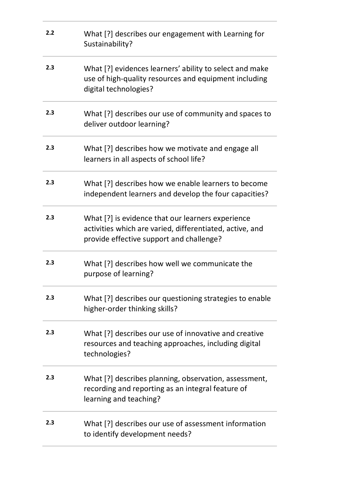| 2.2 | What [?] describes our engagement with Learning for<br>Sustainability?                                                                                    |
|-----|-----------------------------------------------------------------------------------------------------------------------------------------------------------|
| 2.3 | What [?] evidences learners' ability to select and make<br>use of high-quality resources and equipment including<br>digital technologies?                 |
| 2.3 | What [?] describes our use of community and spaces to<br>deliver outdoor learning?                                                                        |
| 2.3 | What [?] describes how we motivate and engage all<br>learners in all aspects of school life?                                                              |
| 2.3 | What [?] describes how we enable learners to become<br>independent learners and develop the four capacities?                                              |
| 2.3 | What [?] is evidence that our learners experience<br>activities which are varied, differentiated, active, and<br>provide effective support and challenge? |
| 2.3 | What [?] describes how well we communicate the<br>purpose of learning?                                                                                    |
| 2.3 | What [?] describes our questioning strategies to enable<br>higher-order thinking skills?                                                                  |
| 2.3 | What [?] describes our use of innovative and creative<br>resources and teaching approaches, including digital<br>technologies?                            |
| 2.3 | What [?] describes planning, observation, assessment,<br>recording and reporting as an integral feature of<br>learning and teaching?                      |
| 2.3 | What [?] describes our use of assessment information<br>to identify development needs?                                                                    |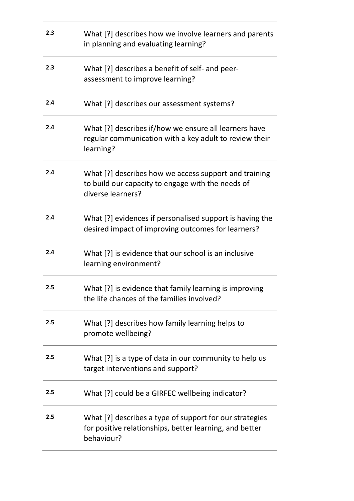| 2.3 | What [?] describes how we involve learners and parents<br>in planning and evaluating learning?                                   |
|-----|----------------------------------------------------------------------------------------------------------------------------------|
| 2.3 | What [?] describes a benefit of self- and peer-<br>assessment to improve learning?                                               |
| 2.4 | What [?] describes our assessment systems?                                                                                       |
| 2.4 | What [?] describes if/how we ensure all learners have<br>regular communication with a key adult to review their<br>learning?     |
| 2.4 | What [?] describes how we access support and training<br>to build our capacity to engage with the needs of<br>diverse learners?  |
| 2.4 | What [?] evidences if personalised support is having the<br>desired impact of improving outcomes for learners?                   |
| 2.4 | What [?] is evidence that our school is an inclusive<br>learning environment?                                                    |
| 2.5 | What [?] is evidence that family learning is improving<br>the life chances of the families involved?                             |
| 2.5 | What [?] describes how family learning helps to<br>promote wellbeing?                                                            |
| 2.5 | What [?] is a type of data in our community to help us<br>target interventions and support?                                      |
| 2.5 | What [?] could be a GIRFEC wellbeing indicator?                                                                                  |
| 2.5 | What [?] describes a type of support for our strategies<br>for positive relationships, better learning, and better<br>behaviour? |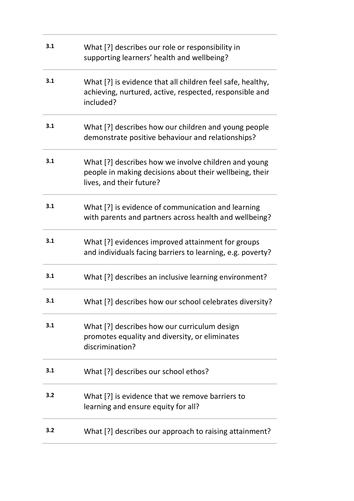| 3.1 | What [?] describes our role or responsibility in<br>supporting learners' health and wellbeing?                                              |
|-----|---------------------------------------------------------------------------------------------------------------------------------------------|
| 3.1 | What [?] is evidence that all children feel safe, healthy,<br>achieving, nurtured, active, respected, responsible and<br>included?          |
| 3.1 | What [?] describes how our children and young people<br>demonstrate positive behaviour and relationships?                                   |
| 3.1 | What [?] describes how we involve children and young<br>people in making decisions about their wellbeing, their<br>lives, and their future? |
| 3.1 | What [?] is evidence of communication and learning<br>with parents and partners across health and wellbeing?                                |
| 3.1 | What [?] evidences improved attainment for groups<br>and individuals facing barriers to learning, e.g. poverty?                             |
| 3.1 | What [?] describes an inclusive learning environment?                                                                                       |
| 3.1 | What [?] describes how our school celebrates diversity?                                                                                     |
| 3.1 | What [?] describes how our curriculum design<br>promotes equality and diversity, or eliminates<br>discrimination?                           |
| 3.1 | What [?] describes our school ethos?                                                                                                        |
| 3.2 | What [?] is evidence that we remove barriers to<br>learning and ensure equity for all?                                                      |
| 3.2 | What [?] describes our approach to raising attainment?                                                                                      |